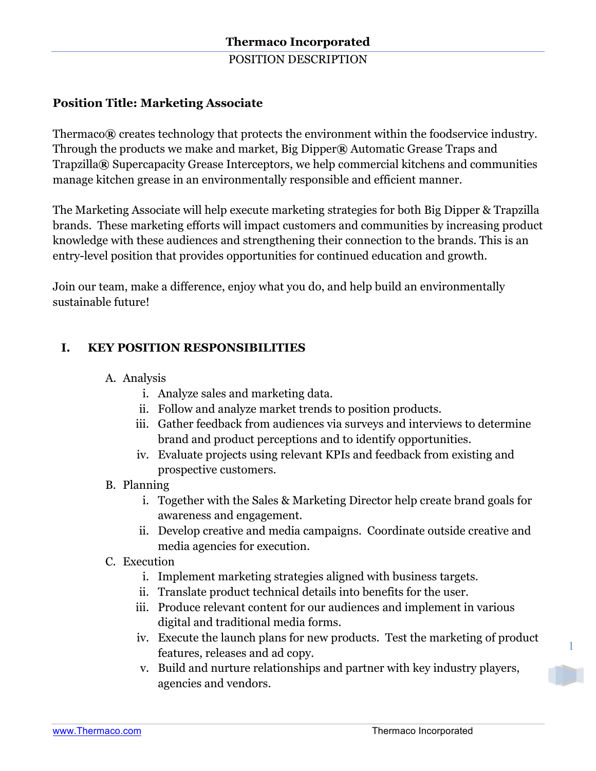POSITION DESCRIPTION

# **Position Title: Marketing Associate**

Thermaco**®** creates technology that protects the environment within the foodservice industry. Through the products we make and market, Big Dipper**®** Automatic Grease Traps and Trapzilla**®** Supercapacity Grease Interceptors, we help commercial kitchens and communities manage kitchen grease in an environmentally responsible and efficient manner.

The Marketing Associate will help execute marketing strategies for both Big Dipper & Trapzilla brands. These marketing efforts will impact customers and communities by increasing product knowledge with these audiences and strengthening their connection to the brands. This is an entry-level position that provides opportunities for continued education and growth.

Join our team, make a difference, enjoy what you do, and help build an environmentally sustainable future!

# **I. KEY POSITION RESPONSIBILITIES**

- A. Analysis
	- i. Analyze sales and marketing data.
	- ii. Follow and analyze market trends to position products.
	- iii. Gather feedback from audiences via surveys and interviews to determine brand and product perceptions and to identify opportunities.
	- iv. Evaluate projects using relevant KPIs and feedback from existing and prospective customers.
- B. Planning
	- i. Together with the Sales & Marketing Director help create brand goals for awareness and engagement.
	- ii. Develop creative and media campaigns. Coordinate outside creative and media agencies for execution.
- C. Execution
	- i. Implement marketing strategies aligned with business targets.
	- ii. Translate product technical details into benefits for the user.
	- iii. Produce relevant content for our audiences and implement in various digital and traditional media forms.
	- iv. Execute the launch plans for new products. Test the marketing of product features, releases and ad copy.
	- v. Build and nurture relationships and partner with key industry players, agencies and vendors.